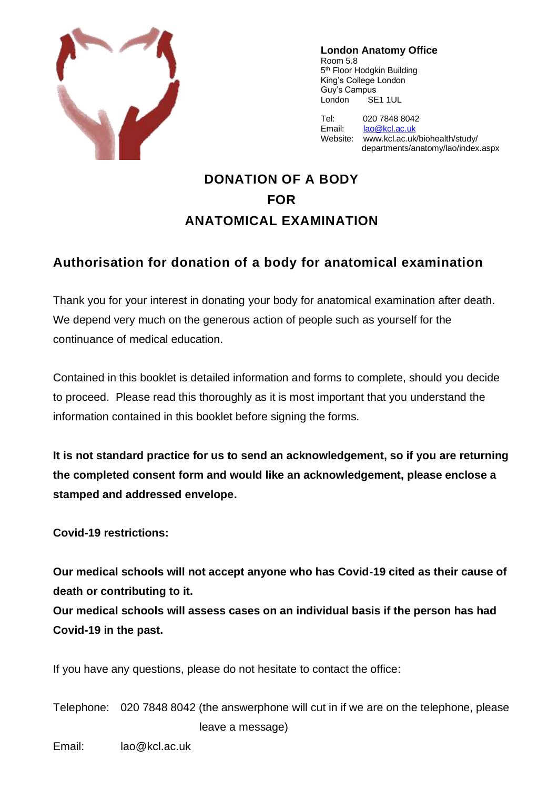

**London Anatomy Office** Room 5.8 5<sup>th</sup> Floor Hodgkin Building King's College London Guy's Campus London SE1 1UL

Tel: 020 7848 8042 Email: [lao@kcl.ac.uk](mailto:lao@kcl.ac.uk) Website: www.kcl.ac.uk/biohealth/study/ departments/anatomy/lao/index.aspx

# **DONATION OF A BODY FOR ANATOMICAL EXAMINATION**

## **Authorisation for donation of a body for anatomical examination**

Thank you for your interest in donating your body for anatomical examination after death. We depend very much on the generous action of people such as yourself for the continuance of medical education.

Contained in this booklet is detailed information and forms to complete, should you decide to proceed. Please read this thoroughly as it is most important that you understand the information contained in this booklet before signing the forms.

**It is not standard practice for us to send an acknowledgement, so if you are returning the completed consent form and would like an acknowledgement, please enclose a stamped and addressed envelope.**

**Covid-19 restrictions:**

**Our medical schools will not accept anyone who has Covid-19 cited as their cause of death or contributing to it.**

**Our medical schools will assess cases on an individual basis if the person has had Covid-19 in the past.**

If you have any questions, please do not hesitate to contact the office:

Telephone: 020 7848 8042 (the answerphone will cut in if we are on the telephone, please leave a message)

Email: lao@kcl.ac.uk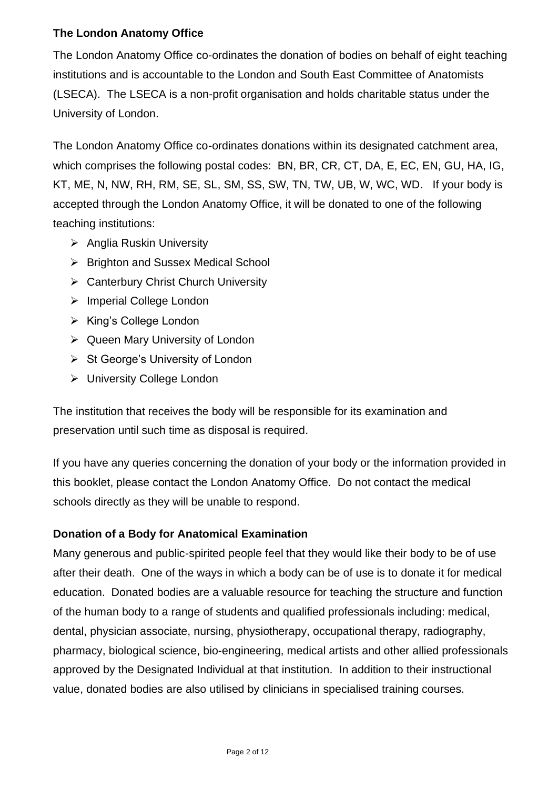## **The London Anatomy Office**

The London Anatomy Office co-ordinates the donation of bodies on behalf of eight teaching institutions and is accountable to the London and South East Committee of Anatomists (LSECA). The LSECA is a non-profit organisation and holds charitable status under the University of London.

The London Anatomy Office co-ordinates donations within its designated catchment area, which comprises the following postal codes: BN, BR, CR, CT, DA, E, EC, EN, GU, HA, IG, KT, ME, N, NW, RH, RM, SE, SL, SM, SS, SW, TN, TW, UB, W, WC, WD. If your body is accepted through the London Anatomy Office, it will be donated to one of the following teaching institutions:

- ➢ Anglia Ruskin University
- ➢ Brighton and Sussex Medical School
- ➢ Canterbury Christ Church University
- ➢ Imperial College London
- ➢ King's College London
- ➢ Queen Mary University of London
- ➢ St George's University of London
- ➢ University College London

The institution that receives the body will be responsible for its examination and preservation until such time as disposal is required.

If you have any queries concerning the donation of your body or the information provided in this booklet, please contact the London Anatomy Office. Do not contact the medical schools directly as they will be unable to respond.

## **Donation of a Body for Anatomical Examination**

Many generous and public-spirited people feel that they would like their body to be of use after their death. One of the ways in which a body can be of use is to donate it for medical education. Donated bodies are a valuable resource for teaching the structure and function of the human body to a range of students and qualified professionals including: medical, dental, physician associate, nursing, physiotherapy, occupational therapy, radiography, pharmacy, biological science, bio-engineering, medical artists and other allied professionals approved by the Designated Individual at that institution. In addition to their instructional value, donated bodies are also utilised by clinicians in specialised training courses.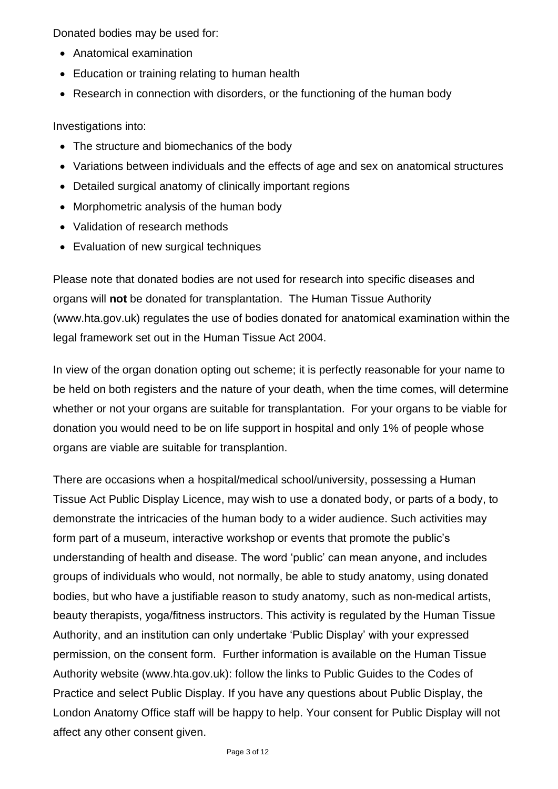Donated bodies may be used for:

- Anatomical examination
- Education or training relating to human health
- Research in connection with disorders, or the functioning of the human body

Investigations into:

- The structure and biomechanics of the body
- Variations between individuals and the effects of age and sex on anatomical structures
- Detailed surgical anatomy of clinically important regions
- Morphometric analysis of the human body
- Validation of research methods
- Evaluation of new surgical techniques

Please note that donated bodies are not used for research into specific diseases and organs will **not** be donated for transplantation. The Human Tissue Authority (www.hta.gov.uk) regulates the use of bodies donated for anatomical examination within the legal framework set out in the Human Tissue Act 2004.

In view of the organ donation opting out scheme; it is perfectly reasonable for your name to be held on both registers and the nature of your death, when the time comes, will determine whether or not your organs are suitable for transplantation. For your organs to be viable for donation you would need to be on life support in hospital and only 1% of people whose organs are viable are suitable for transplantion.

There are occasions when a hospital/medical school/university, possessing a Human Tissue Act Public Display Licence, may wish to use a donated body, or parts of a body, to demonstrate the intricacies of the human body to a wider audience. Such activities may form part of a museum, interactive workshop or events that promote the public's understanding of health and disease. The word 'public' can mean anyone, and includes groups of individuals who would, not normally, be able to study anatomy, using donated bodies, but who have a justifiable reason to study anatomy, such as non-medical artists, beauty therapists, yoga/fitness instructors. This activity is regulated by the Human Tissue Authority, and an institution can only undertake 'Public Display' with your expressed permission, on the consent form. Further information is available on the Human Tissue Authority website (www.hta.gov.uk): follow the links to Public Guides to the Codes of Practice and select Public Display. If you have any questions about Public Display, the London Anatomy Office staff will be happy to help. Your consent for Public Display will not affect any other consent given.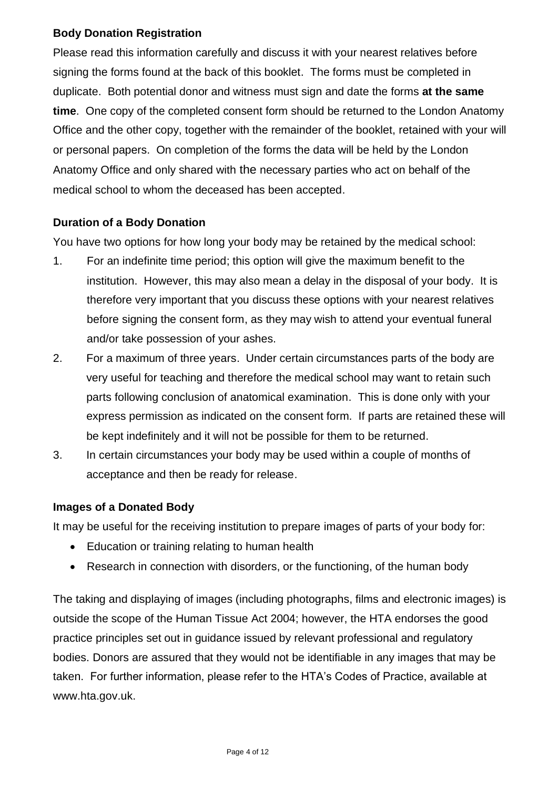#### **Body Donation Registration**

Please read this information carefully and discuss it with your nearest relatives before signing the forms found at the back of this booklet. The forms must be completed in duplicate. Both potential donor and witness must sign and date the forms **at the same time**. One copy of the completed consent form should be returned to the London Anatomy Office and the other copy, together with the remainder of the booklet, retained with your will or personal papers. On completion of the forms the data will be held by the London Anatomy Office and only shared with the necessary parties who act on behalf of the medical school to whom the deceased has been accepted.

### **Duration of a Body Donation**

You have two options for how long your body may be retained by the medical school:

- 1. For an indefinite time period; this option will give the maximum benefit to the institution. However, this may also mean a delay in the disposal of your body. It is therefore very important that you discuss these options with your nearest relatives before signing the consent form, as they may wish to attend your eventual funeral and/or take possession of your ashes.
- 2. For a maximum of three years. Under certain circumstances parts of the body are very useful for teaching and therefore the medical school may want to retain such parts following conclusion of anatomical examination. This is done only with your express permission as indicated on the consent form. If parts are retained these will be kept indefinitely and it will not be possible for them to be returned.
- 3. In certain circumstances your body may be used within a couple of months of acceptance and then be ready for release.

#### **Images of a Donated Body**

It may be useful for the receiving institution to prepare images of parts of your body for:

- Education or training relating to human health
- Research in connection with disorders, or the functioning, of the human body

The taking and displaying of images (including photographs, films and electronic images) is outside the scope of the Human Tissue Act 2004; however, the HTA endorses the good practice principles set out in guidance issued by relevant professional and regulatory bodies. Donors are assured that they would not be identifiable in any images that may be taken. For further information, please refer to the HTA's Codes of Practice, available at www.hta.gov.uk.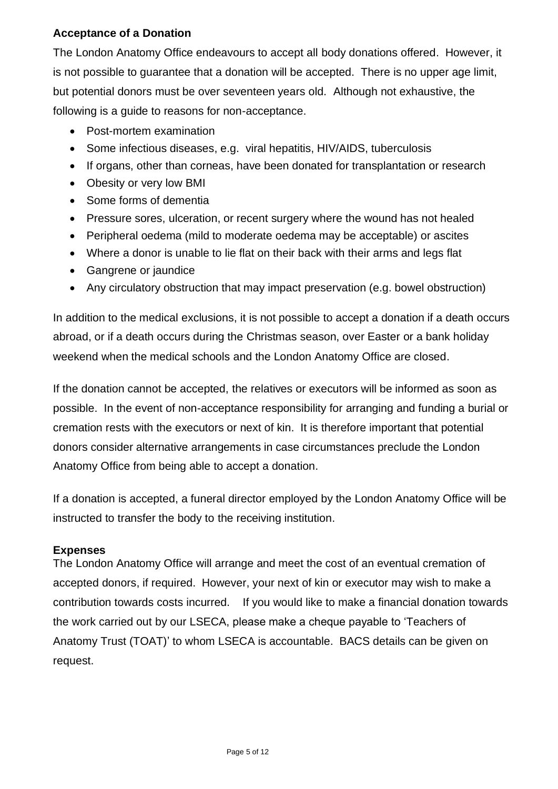#### **Acceptance of a Donation**

The London Anatomy Office endeavours to accept all body donations offered. However, it is not possible to guarantee that a donation will be accepted. There is no upper age limit, but potential donors must be over seventeen years old. Although not exhaustive, the following is a guide to reasons for non-acceptance.

- Post-mortem examination
- Some infectious diseases, e.g. viral hepatitis, HIV/AIDS, tuberculosis
- If organs, other than corneas, have been donated for transplantation or research
- Obesity or very low BMI
- Some forms of dementia
- Pressure sores, ulceration, or recent surgery where the wound has not healed
- Peripheral oedema (mild to moderate oedema may be acceptable) or ascites
- Where a donor is unable to lie flat on their back with their arms and legs flat
- Gangrene or jaundice
- Any circulatory obstruction that may impact preservation (e.g. bowel obstruction)

In addition to the medical exclusions, it is not possible to accept a donation if a death occurs abroad, or if a death occurs during the Christmas season, over Easter or a bank holiday weekend when the medical schools and the London Anatomy Office are closed.

If the donation cannot be accepted, the relatives or executors will be informed as soon as possible. In the event of non-acceptance responsibility for arranging and funding a burial or cremation rests with the executors or next of kin. It is therefore important that potential donors consider alternative arrangements in case circumstances preclude the London Anatomy Office from being able to accept a donation.

If a donation is accepted, a funeral director employed by the London Anatomy Office will be instructed to transfer the body to the receiving institution.

#### **Expenses**

The London Anatomy Office will arrange and meet the cost of an eventual cremation of accepted donors, if required. However, your next of kin or executor may wish to make a contribution towards costs incurred. If you would like to make a financial donation towards the work carried out by our LSECA, please make a cheque payable to 'Teachers of Anatomy Trust (TOAT)' to whom LSECA is accountable. BACS details can be given on request.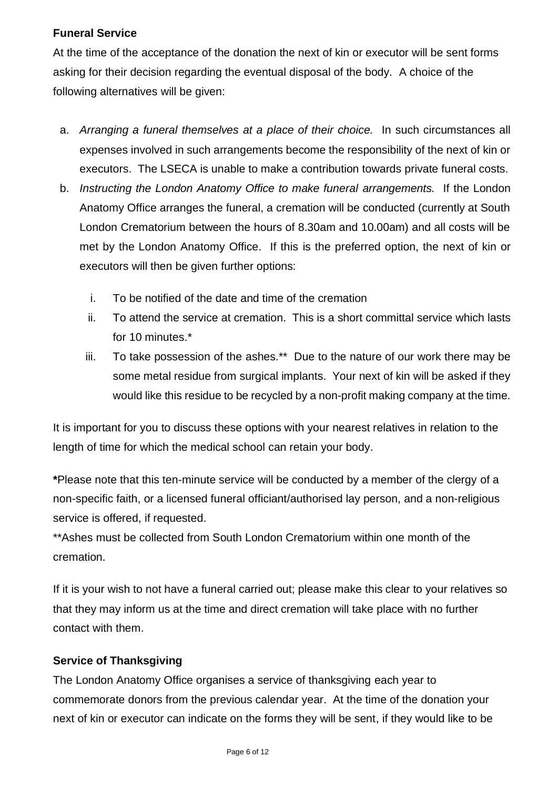#### **Funeral Service**

At the time of the acceptance of the donation the next of kin or executor will be sent forms asking for their decision regarding the eventual disposal of the body. A choice of the following alternatives will be given:

- a. *Arranging a funeral themselves at a place of their choice.* In such circumstances all expenses involved in such arrangements become the responsibility of the next of kin or executors. The LSECA is unable to make a contribution towards private funeral costs.
- b. *Instructing the London Anatomy Office to make funeral arrangements.* If the London Anatomy Office arranges the funeral, a cremation will be conducted (currently at South London Crematorium between the hours of 8.30am and 10.00am) and all costs will be met by the London Anatomy Office. If this is the preferred option, the next of kin or executors will then be given further options:
	- i. To be notified of the date and time of the cremation
	- ii. To attend the service at cremation. This is a short committal service which lasts for 10 minutes.\*
	- iii. To take possession of the ashes.\*\* Due to the nature of our work there may be some metal residue from surgical implants. Your next of kin will be asked if they would like this residue to be recycled by a non-profit making company at the time.

It is important for you to discuss these options with your nearest relatives in relation to the length of time for which the medical school can retain your body.

**\***Please note that this ten-minute service will be conducted by a member of the clergy of a non-specific faith, or a licensed funeral officiant/authorised lay person, and a non-religious service is offered, if requested.

\*\*Ashes must be collected from South London Crematorium within one month of the cremation.

If it is your wish to not have a funeral carried out; please make this clear to your relatives so that they may inform us at the time and direct cremation will take place with no further contact with them.

## **Service of Thanksgiving**

The London Anatomy Office organises a service of thanksgiving each year to commemorate donors from the previous calendar year. At the time of the donation your next of kin or executor can indicate on the forms they will be sent, if they would like to be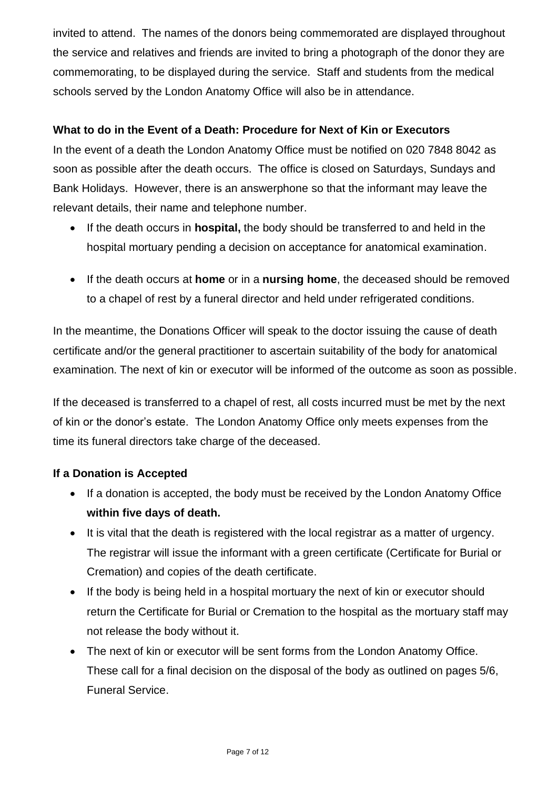invited to attend. The names of the donors being commemorated are displayed throughout the service and relatives and friends are invited to bring a photograph of the donor they are commemorating, to be displayed during the service. Staff and students from the medical schools served by the London Anatomy Office will also be in attendance.

### **What to do in the Event of a Death: Procedure for Next of Kin or Executors**

In the event of a death the London Anatomy Office must be notified on 020 7848 8042 as soon as possible after the death occurs. The office is closed on Saturdays, Sundays and Bank Holidays. However, there is an answerphone so that the informant may leave the relevant details, their name and telephone number.

- If the death occurs in **hospital,** the body should be transferred to and held in the hospital mortuary pending a decision on acceptance for anatomical examination.
- If the death occurs at **home** or in a **nursing home**, the deceased should be removed to a chapel of rest by a funeral director and held under refrigerated conditions.

In the meantime, the Donations Officer will speak to the doctor issuing the cause of death certificate and/or the general practitioner to ascertain suitability of the body for anatomical examination. The next of kin or executor will be informed of the outcome as soon as possible.

If the deceased is transferred to a chapel of rest, all costs incurred must be met by the next of kin or the donor's estate. The London Anatomy Office only meets expenses from the time its funeral directors take charge of the deceased.

#### **If a Donation is Accepted**

- If a donation is accepted, the body must be received by the London Anatomy Office **within five days of death.**
- It is vital that the death is registered with the local registrar as a matter of urgency. The registrar will issue the informant with a green certificate (Certificate for Burial or Cremation) and copies of the death certificate.
- If the body is being held in a hospital mortuary the next of kin or executor should return the Certificate for Burial or Cremation to the hospital as the mortuary staff may not release the body without it.
- The next of kin or executor will be sent forms from the London Anatomy Office. These call for a final decision on the disposal of the body as outlined on pages 5/6, Funeral Service.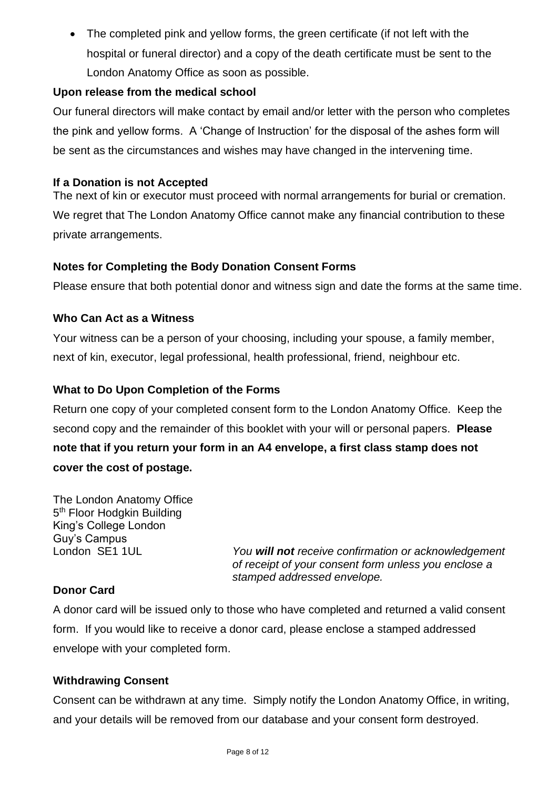• The completed pink and yellow forms, the green certificate (if not left with the hospital or funeral director) and a copy of the death certificate must be sent to the London Anatomy Office as soon as possible.

### **Upon release from the medical school**

Our funeral directors will make contact by email and/or letter with the person who completes the pink and yellow forms. A 'Change of Instruction' for the disposal of the ashes form will be sent as the circumstances and wishes may have changed in the intervening time.

#### **If a Donation is not Accepted**

The next of kin or executor must proceed with normal arrangements for burial or cremation. We regret that The London Anatomy Office cannot make any financial contribution to these private arrangements.

#### **Notes for Completing the Body Donation Consent Forms**

Please ensure that both potential donor and witness sign and date the forms at the same time.

#### **Who Can Act as a Witness**

Your witness can be a person of your choosing, including your spouse, a family member, next of kin, executor, legal professional, health professional, friend, neighbour etc.

### **What to Do Upon Completion of the Forms**

Return one copy of your completed consent form to the London Anatomy Office. Keep the second copy and the remainder of this booklet with your will or personal papers. **Please note that if you return your form in an A4 envelope, a first class stamp does not cover the cost of postage.**

The London Anatomy Office 5<sup>th</sup> Floor Hodgkin Building King's College London Guy's Campus

London SE1 1UL *You will not receive confirmation or acknowledgement of receipt of your consent form unless you enclose a stamped addressed envelope.*

## **Donor Card**

A donor card will be issued only to those who have completed and returned a valid consent form. If you would like to receive a donor card, please enclose a stamped addressed envelope with your completed form.

#### **Withdrawing Consent**

Consent can be withdrawn at any time. Simply notify the London Anatomy Office, in writing, and your details will be removed from our database and your consent form destroyed.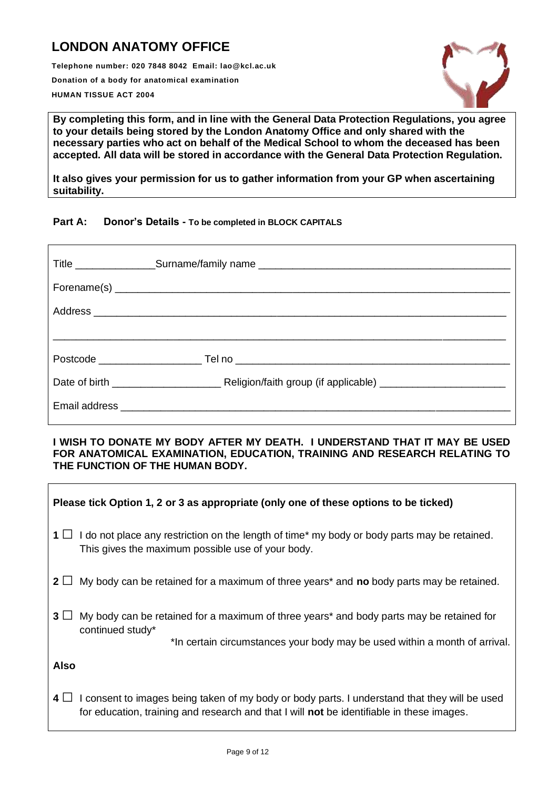## **LONDON ANATOMY OFFICE**

**Telephone number: 020 7848 8042 Email: lao@kcl.ac.uk Donation of a body for anatomical examination HUMAN TISSUE ACT 2004**



**By completing this form, and in line with the General Data Protection Regulations, you agree to your details being stored by the London Anatomy Office and only shared with the necessary parties who act on behalf of the Medical School to whom the deceased has been accepted. All data will be stored in accordance with the General Data Protection Regulation.**

**It also gives your permission for us to gather information from your GP when ascertaining suitability.**

#### **Part A: Donor's Details - To be completed in BLOCK CAPITALS**

#### **I WISH TO DONATE MY BODY AFTER MY DEATH. I UNDERSTAND THAT IT MAY BE USED FOR ANATOMICAL EXAMINATION, EDUCATION, TRAINING AND RESEARCH RELATING TO THE FUNCTION OF THE HUMAN BODY.**

| Please tick Option 1, 2 or 3 as appropriate (only one of these options to be ticked)                                                                                                                         |  |  |
|--------------------------------------------------------------------------------------------------------------------------------------------------------------------------------------------------------------|--|--|
| $1 \Box$ I do not place any restriction on the length of time* my body or body parts may be retained.<br>This gives the maximum possible use of your body.                                                   |  |  |
| 2 $\Box$ My body can be retained for a maximum of three years* and no body parts may be retained.                                                                                                            |  |  |
| 3 <sup>1</sup><br>My body can be retained for a maximum of three years* and body parts may be retained for<br>continued study*<br>*In certain circumstances your body may be used within a month of arrival. |  |  |
| <b>Also</b>                                                                                                                                                                                                  |  |  |
| 4 $\Box$ I consent to images being taken of my body or body parts. I understand that they will be used<br>for education, training and research and that I will <b>not</b> be identifiable in these images.   |  |  |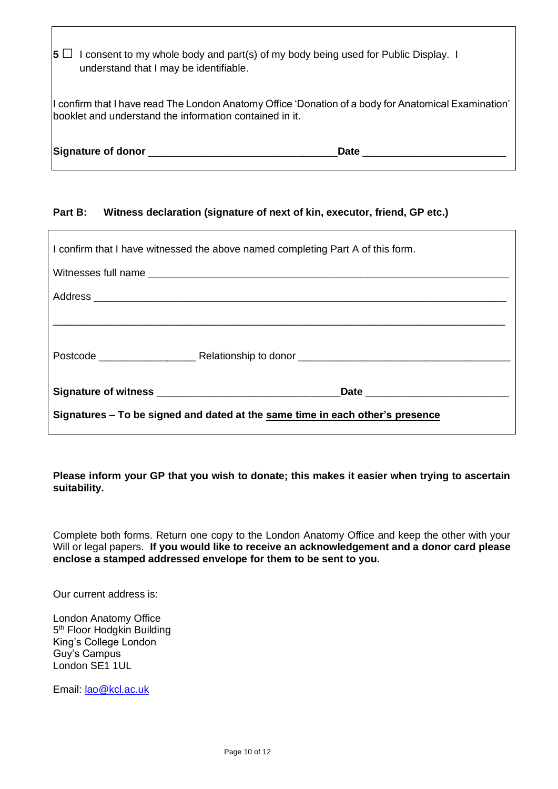|                                                                                                                                                                 | $ 5 \square$ I consent to my whole body and part(s) of my body being used for Public Display. I<br>understand that I may be identifiable. |             |  |
|-----------------------------------------------------------------------------------------------------------------------------------------------------------------|-------------------------------------------------------------------------------------------------------------------------------------------|-------------|--|
| I confirm that I have read The London Anatomy Office 'Donation of a body for Anatomical Examination'<br>booklet and understand the information contained in it. |                                                                                                                                           |             |  |
|                                                                                                                                                                 | Signature of donor and a series of the series of the series of the series of the series of the series of the s                            | <b>Date</b> |  |

#### **Part B: Witness declaration (signature of next of kin, executor, friend, GP etc.)**

| I confirm that I have witnessed the above named completing Part A of this form. |  |  |  |  |
|---------------------------------------------------------------------------------|--|--|--|--|
|                                                                                 |  |  |  |  |
|                                                                                 |  |  |  |  |
|                                                                                 |  |  |  |  |
|                                                                                 |  |  |  |  |
|                                                                                 |  |  |  |  |
| Signatures - To be signed and dated at the same time in each other's presence   |  |  |  |  |

**Please inform your GP that you wish to donate; this makes it easier when trying to ascertain suitability.**

Complete both forms. Return one copy to the London Anatomy Office and keep the other with your Will or legal papers. **If you would like to receive an acknowledgement and a donor card please enclose a stamped addressed envelope for them to be sent to you.**

Our current address is:

London Anatomy Office 5<sup>th</sup> Floor Hodgkin Building King's College London Guy's Campus London SE1 1UL

Email: [lao@kcl.ac.uk](mailto:lao@kcl.ac.uk)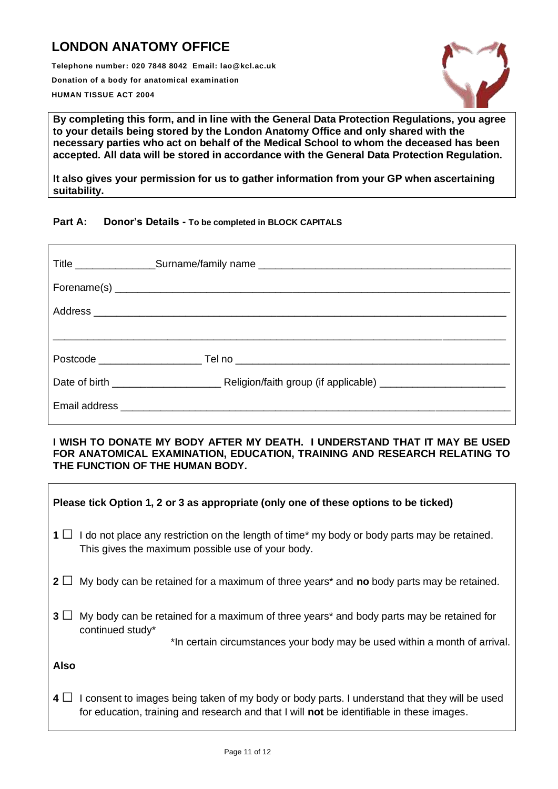## **LONDON ANATOMY OFFICE**

**Telephone number: 020 7848 8042 Email: lao@kcl.ac.uk Donation of a body for anatomical examination HUMAN TISSUE ACT 2004**



**By completing this form, and in line with the General Data Protection Regulations, you agree to your details being stored by the London Anatomy Office and only shared with the necessary parties who act on behalf of the Medical School to whom the deceased has been accepted. All data will be stored in accordance with the General Data Protection Regulation.**

**It also gives your permission for us to gather information from your GP when ascertaining suitability.**

#### **Part A: Donor's Details - To be completed in BLOCK CAPITALS**

#### **I WISH TO DONATE MY BODY AFTER MY DEATH. I UNDERSTAND THAT IT MAY BE USED FOR ANATOMICAL EXAMINATION, EDUCATION, TRAINING AND RESEARCH RELATING TO THE FUNCTION OF THE HUMAN BODY.**

| Please tick Option 1, 2 or 3 as appropriate (only one of these options to be ticked)                                                                                                                          |  |  |
|---------------------------------------------------------------------------------------------------------------------------------------------------------------------------------------------------------------|--|--|
| $1 \Box$ I do not place any restriction on the length of time* my body or body parts may be retained.<br>This gives the maximum possible use of your body.                                                    |  |  |
| 2 $\Box$ My body can be retained for a maximum of three years* and no body parts may be retained.                                                                                                             |  |  |
| $3+$<br>My body can be retained for a maximum of three years* and body parts may be retained for<br>continued study*<br>*In certain circumstances your body may be used within a month of arrival.            |  |  |
| <b>Also</b>                                                                                                                                                                                                   |  |  |
| $4 \Box$<br>I consent to images being taken of my body or body parts. I understand that they will be used<br>for education, training and research and that I will <b>not</b> be identifiable in these images. |  |  |